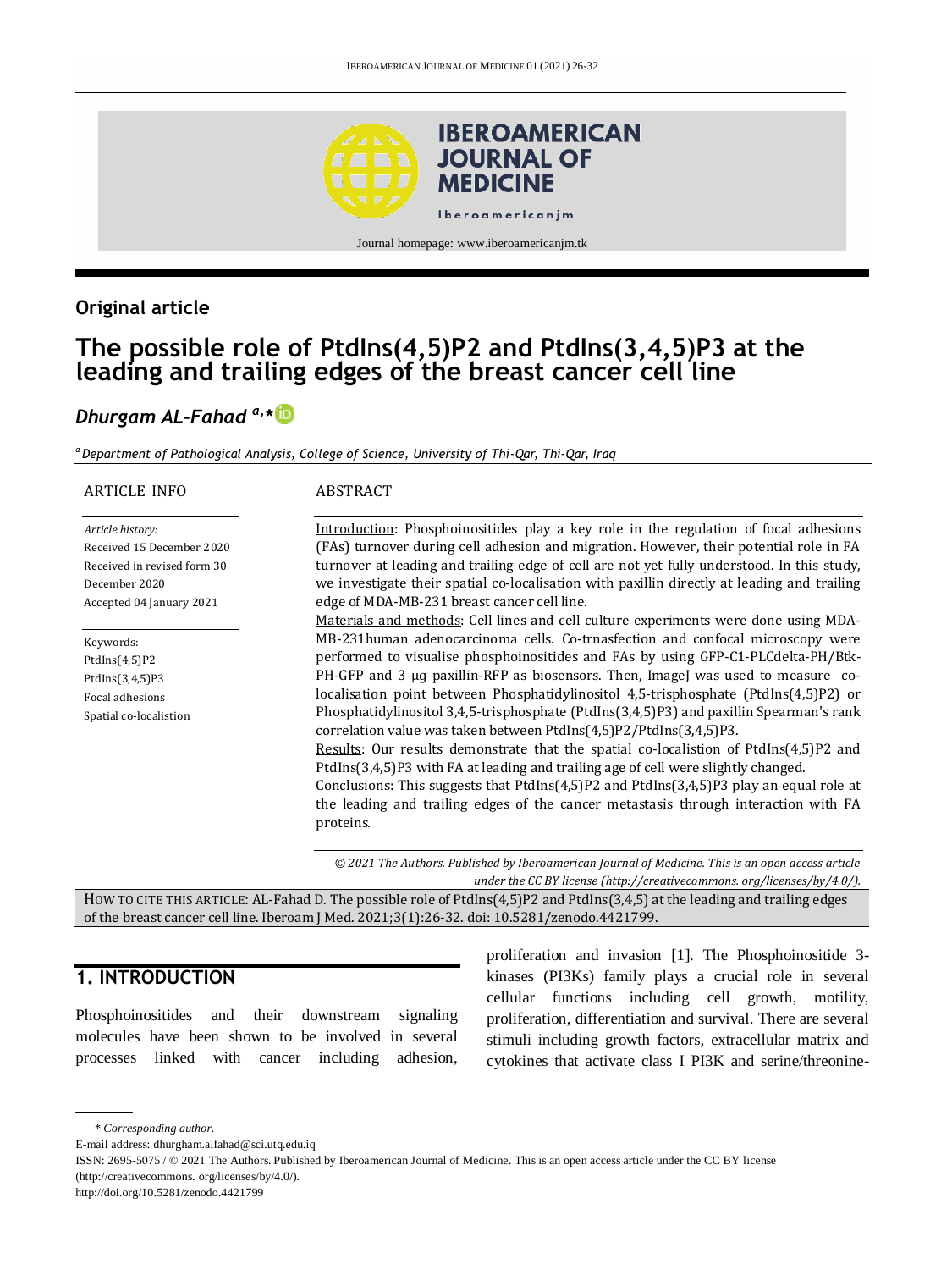

# **Original article**

# **The possible role of PtdIns(4,5)P2 and PtdIns(3,4,5)P3 at the leading and trailing edges of the breast cancer cell line**

# *Dhurgam AL-Fahad a,\**

*<sup>a</sup> Department of Pathological Analysis, College of Science, University of Thi-Qar, Thi-Qar, Iraq* 

| <b>ARTICLE INFO</b>         | <b>ABSTRACT</b>                                                                                                                                               |  |  |
|-----------------------------|---------------------------------------------------------------------------------------------------------------------------------------------------------------|--|--|
| Article history:            | Introduction: Phosphoinositides play a key role in the regulation of focal adhesions                                                                          |  |  |
| Received 15 December 2020   | (FAs) turnover during cell adhesion and migration. However, their potential role in FA                                                                        |  |  |
| Received in revised form 30 | turnover at leading and trailing edge of cell are not yet fully understood. In this study,                                                                    |  |  |
| December 2020               | we investigate their spatial co-localisation with paxillin directly at leading and trailing                                                                   |  |  |
| Accepted 04 January 2021    | edge of MDA-MB-231 breast cancer cell line.                                                                                                                   |  |  |
|                             | Materials and methods: Cell lines and cell culture experiments were done using MDA-                                                                           |  |  |
| Keywords:                   | MB-231 human adenocarcinoma cells. Co-trnasfection and confocal microscopy were                                                                               |  |  |
| PtdIns(4,5)P2               | performed to visualise phosphoinositides and FAs by using GFP-C1-PLCdelta-PH/Btk-                                                                             |  |  |
| PtdIns(3,4,5)P3             | PH-GFP and 3 µg paxillin-RFP as biosensors. Then, ImageJ was used to measure co-                                                                              |  |  |
| Focal adhesions             | localisation point between Phosphatidylinositol 4,5-trisphosphate (PtdIns(4,5)P2) or                                                                          |  |  |
| Spatial co-localistion      | Phosphatidylinositol 3,4,5-trisphosphate (PtdIns(3,4,5)P3) and paxillin Spearman's rank<br>correlation value was taken between PtdIns(4,5)P2/PtdIns(3,4,5)P3. |  |  |
|                             | <u>Results</u> : Our results demonstrate that the spatial co-localistion of PtdIns $(4,5)$ P2 and                                                             |  |  |
|                             | PtdIns(3,4,5)P3 with FA at leading and trailing age of cell were slightly changed.                                                                            |  |  |
|                             | Conclusions: This suggests that PtdIns $(4,5)$ P2 and PtdIns $(3,4,5)$ P3 play an equal role at                                                               |  |  |
|                             | the leading and trailing edges of the cancer metastasis through interaction with FA                                                                           |  |  |
|                             | proteins.                                                                                                                                                     |  |  |

*© 2021 The Authors. Published by Iberoamerican Journal of Medicine. This is an open access article under the CC BY license (http:/[/creativecommons. org/licenses/by/4.0/\)](https://creativecommons.org/licenses/by/4.0/).*

HOW TO CITE THIS ARTICLE: AL-Fahad D. The possible role of PtdIns(4,5)P2 and PtdIns(3,4,5) at the leading and trailing edges of the breast cancer cell line. Iberoam J Med. 2021;3(1):26-32. doi[: 10.5281/zenodo.4421799.](http://doi.org/10.5281/zenodo.4421799)

### **1. INTRODUCTION**

Phosphoinositides and their downstream signaling molecules have been shown to be involved in several processes linked with cancer including adhesion,

proliferation and invasion [1]. The Phosphoinositide 3 kinases (PI3Ks) family plays a crucial role in several cellular functions including cell growth, motility, proliferation, differentiation and survival. There are several stimuli including growth factors, extracellular matrix and cytokines that activate class I PI3K and serine/threonine-

\* *Corresponding author.*

E-mail address: dhurgham.alfahad@sci.utq.edu.iq

ISSN: 2695-5075 / © 2021 The Authors. Published by Iberoamerican Journal of Medicine. This is an open access article under the CC BY license (http://creativecommons. org/licenses/by/4.0/).

http://doi.org/10.5281/zenodo.4421799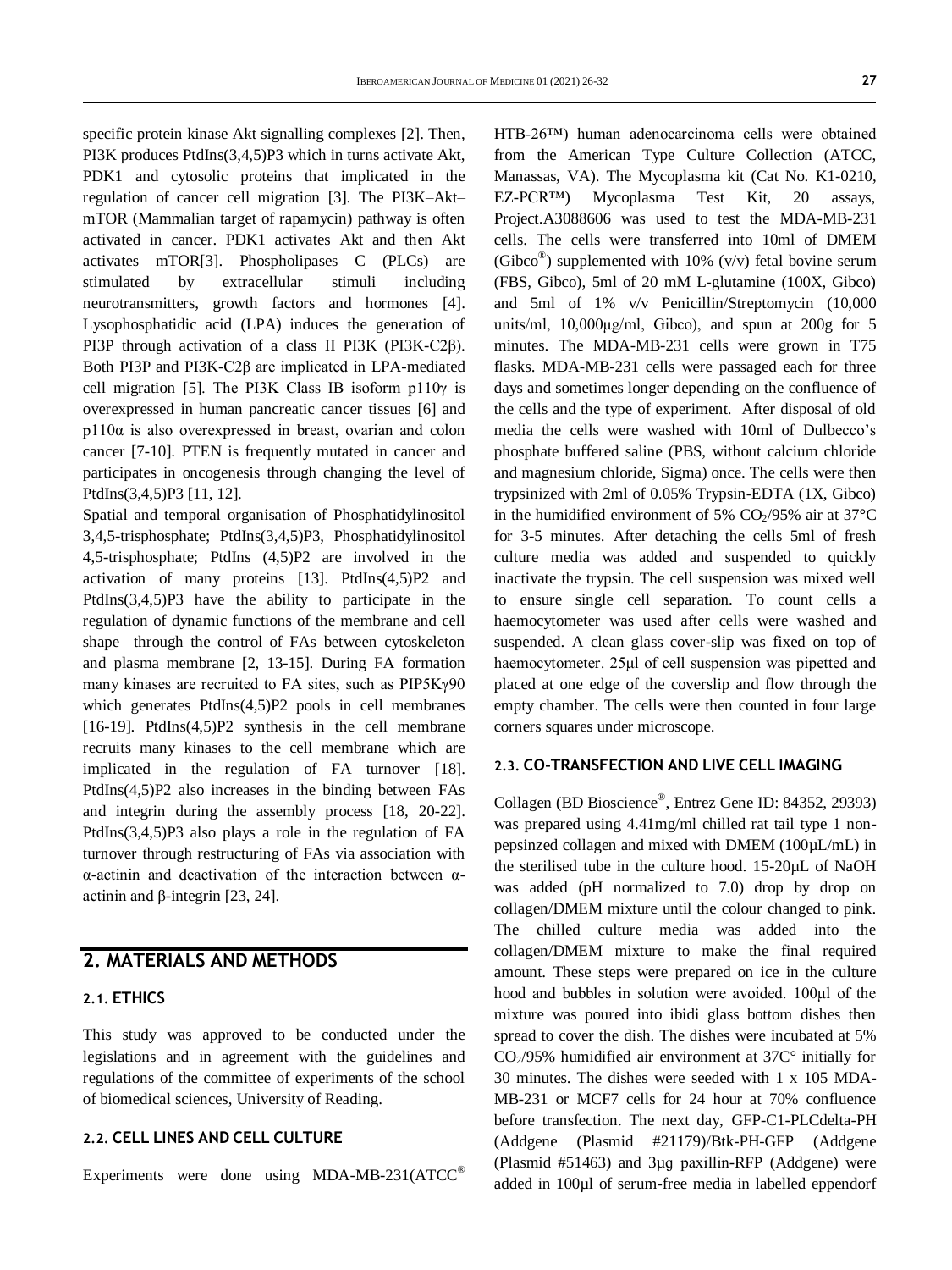specific protein kinase Akt signalling complexes [2]. Then, PI3K produces PtdIns(3,4,5)P3 which in turns activate Akt, PDK1 and cytosolic proteins that implicated in the regulation of cancer cell migration [3]. The PI3K–Akt– mTOR (Mammalian target of rapamycin) pathway is often activated in cancer. PDK1 activates Akt and then Akt activates mTOR[3]. Phospholipases C (PLCs) are stimulated by extracellular stimuli including neurotransmitters, growth factors and hormones [4]. Lysophosphatidic acid (LPA) induces the generation of PI3P through activation of a class II PI3K (PI3K-C2β). Both PI3P and PI3K-C2β are implicated in LPA-mediated cell migration [5]. The PI3K Class IB isoform p110γ is overexpressed in human pancreatic cancer tissues [6] and p110α is also overexpressed in breast, ovarian and colon cancer [7-10]. PTEN is frequently mutated in cancer and participates in oncogenesis through changing the level of PtdIns(3,4,5)P3 [11, 12].

Spatial and temporal organisation of Phosphatidylinositol 3,4,5-trisphosphate; PtdIns(3,4,5)P3, Phosphatidylinositol 4,5-trisphosphate; PtdIns (4,5)P2 are involved in the activation of many proteins [13]. PtdIns(4,5)P2 and PtdIns(3,4,5)P3 have the ability to participate in the regulation of dynamic functions of the membrane and cell shape through the control of FAs between cytoskeleton and plasma membrane [2, 13-15]. During FA formation many kinases are recruited to FA sites, such as PIP5Kγ90 which generates PtdIns(4,5)P2 pools in cell membranes [16-19]. PtdIns(4,5)P2 synthesis in the cell membrane recruits many kinases to the cell membrane which are implicated in the regulation of FA turnover [18]. PtdIns(4,5)P2 also increases in the binding between FAs and integrin during the assembly process [18, 20-22]. PtdIns(3,4,5)P3 also plays a role in the regulation of FA turnover through restructuring of FAs via association with α-actinin and deactivation of the interaction between αactinin and β-integrin [23, 24].

# **2. MATERIALS AND METHODS**

#### **2.1. ETHICS**

This study was approved to be conducted under the legislations and in agreement with the guidelines and regulations of the committee of experiments of the school of biomedical sciences, University of Reading.

#### **2.2. CELL LINES AND CELL CULTURE**

Experiments were done using MDA-MB-231(ATCC®

HTB-26™) human adenocarcinoma cells were obtained from the American Type Culture Collection (ATCC, Manassas, VA). The Mycoplasma kit (Cat No. K1-0210, EZ-PCR™) Mycoplasma Test Kit, 20 assays, Project.A3088606 was used to test the MDA-MB-231 cells. The cells were transferred into 10ml of DMEM (Gibco<sup>®</sup>) supplemented with 10% (v/v) fetal bovine serum (FBS, Gibco), 5ml of 20 mM L-glutamine (100X, Gibco) and 5ml of 1% v/v Penicillin/Streptomycin (10,000 units/ml, 10,000μg/ml, Gibco), and spun at 200g for 5 minutes. The MDA-MB-231 cells were grown in T75 flasks. MDA-MB-231 cells were passaged each for three days and sometimes longer depending on the confluence of the cells and the type of experiment. After disposal of old media the cells were washed with 10ml of Dulbecco's phosphate buffered saline (PBS, without calcium chloride and magnesium chloride, Sigma) once. The cells were then trypsinized with 2ml of 0.05% Trypsin-EDTA (1X, Gibco) in the humidified environment of 5%  $CO<sub>2</sub>/95%$  air at 37<sup>°</sup>C for 3-5 minutes. After detaching the cells 5ml of fresh culture media was added and suspended to quickly inactivate the trypsin. The cell suspension was mixed well to ensure single cell separation. To count cells a haemocytometer was used after cells were washed and suspended. A clean glass cover-slip was fixed on top of haemocytometer. 25μl of cell suspension was pipetted and placed at one edge of the coverslip and flow through the empty chamber. The cells were then counted in four large corners squares under microscope.

#### **2.3. CO-TRANSFECTION AND LIVE CELL IMAGING**

Collagen (BD Bioscience® , Entrez Gene ID: 84352, 29393) was prepared using 4.41mg/ml chilled rat tail type 1 nonpepsinzed collagen and mixed with DMEM (100µL/mL) in the sterilised tube in the culture hood. 15-20µL of NaOH was added (pH normalized to 7.0) drop by drop on collagen/DMEM mixture until the colour changed to pink. The chilled culture media was added into the collagen/DMEM mixture to make the final required amount. These steps were prepared on ice in the culture hood and bubbles in solution were avoided. 100μl of the mixture was poured into ibidi glass bottom dishes then spread to cover the dish. The dishes were incubated at 5%  $CO<sub>2</sub>/95%$  humidified air environment at 37 $C<sup>o</sup>$  initially for 30 minutes. The dishes were seeded with 1 x 105 MDA-MB-231 or MCF7 cells for 24 hour at 70% confluence before transfection. The next day, GFP-C1-PLCdelta-PH (Addgene (Plasmid #21179)/Btk-PH-GFP (Addgene (Plasmid #51463) and 3µɡ paxillin-RFP (Addgene) were added in 100µl of serum-free media in labelled eppendorf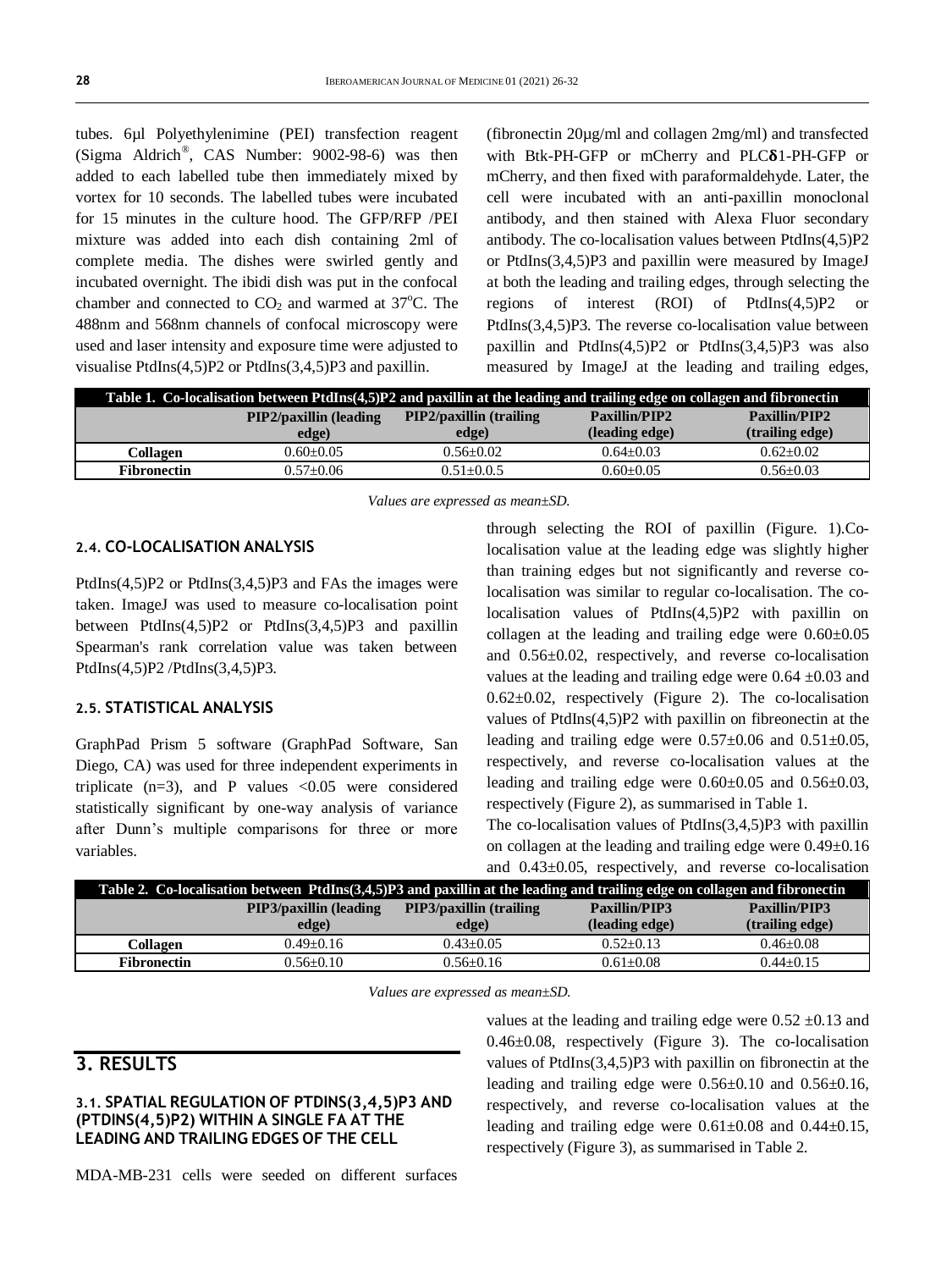tubes. 6µl Polyethylenimine (PEI) transfection reagent (Sigma Aldrich® , CAS Number: 9002-98-6) was then added to each labelled tube then immediately mixed by vortex for 10 seconds. The labelled tubes were incubated for 15 minutes in the culture hood. The GFP/RFP /PEI mixture was added into each dish containing 2ml of complete media. The dishes were swirled gently and incubated overnight. The ibidi dish was put in the confocal chamber and connected to  $CO<sub>2</sub>$  and warmed at 37 $^{\circ}$ C. The 488nm and 568nm channels of confocal microscopy were used and laser intensity and exposure time were adjusted to visualise PtdIns(4,5)P2 or PtdIns(3,4,5)P3 and paxillin.

(fibronectin 20µg/ml and collagen 2mg/ml) and transfected with Btk-PH-GFP or mCherry and PLC $\delta$ 1-PH-GFP or mCherry, and then fixed with paraformaldehyde. Later, the cell were incubated with an anti-paxillin monoclonal antibody, and then stained with Alexa Fluor secondary antibody. The co-localisation values between PtdIns(4,5)P2 or PtdIns(3,4,5)P3 and paxillin were measured by ImageJ at both the leading and trailing edges, through selecting the regions of interest (ROI) of PtdIns(4,5)P2 or PtdIns(3,4,5)P3. The reverse co-localisation value between paxillin and PtdIns(4,5)P2 or PtdIns(3,4,5)P3 was also measured by ImageJ at the leading and trailing edges,

| Table 1. Co-localisation between PtdIns(4,5)P2 and paxillin at the leading and trailing edge on collagen and fibronectin |                                |                                 |                |                 |  |  |  |
|--------------------------------------------------------------------------------------------------------------------------|--------------------------------|---------------------------------|----------------|-----------------|--|--|--|
|                                                                                                                          | <b>PIP2/paxillin (leading)</b> | <b>PIP2/paxillin (trailing)</b> | Paxillin/PIP2  | Paxillin/PIP2   |  |  |  |
|                                                                                                                          | edge)                          | edge)                           | (leading edge) | (trailing edge) |  |  |  |
| Collagen                                                                                                                 | $0.60 + 0.05$                  | $0.56 + 0.02$                   | $0.64 + 0.03$  | $0.62 + 0.02$   |  |  |  |
| <b>Fibronectin</b>                                                                                                       | $0.57+0.06$                    | $0.51 + 0.0.5$                  | $0.60 + 0.05$  | $0.56 + 0.03$   |  |  |  |

*Values are expressed as mean±SD.*

#### **2.4. CO-LOCALISATION ANALYSIS**

PtdIns(4,5)P2 or PtdIns(3,4,5)P3 and FAs the images were taken. ImageJ was used to measure co-localisation point between PtdIns(4,5)P2 or PtdIns(3,4,5)P3 and paxillin Spearman's rank correlation value was taken between PtdIns(4,5)P2 /PtdIns(3,4,5)P3.

#### **2.5. STATISTICAL ANALYSIS**

GraphPad Prism 5 software (GraphPad Software, San Diego, CA) was used for three independent experiments in triplicate  $(n=3)$ , and P values  $\lt 0.05$  were considered statistically significant by one-way analysis of variance after Dunn's multiple comparisons for three or more variables.

through selecting the ROI of paxillin (Figure. 1).Colocalisation value at the leading edge was slightly higher than training edges but not significantly and reverse colocalisation was similar to regular co-localisation. The colocalisation values of PtdIns(4,5)P2 with paxillin on collagen at the leading and trailing edge were  $0.60\pm0.05$ and 0.56±0.02, respectively, and reverse co-localisation values at the leading and trailing edge were  $0.64 \pm 0.03$  and 0.62±0.02, respectively (Figure 2). The co-localisation values of PtdIns(4,5)P2 with paxillin on fibreonectin at the leading and trailing edge were  $0.57\pm0.06$  and  $0.51\pm0.05$ , respectively, and reverse co-localisation values at the leading and trailing edge were  $0.60\pm0.05$  and  $0.56\pm0.03$ , respectively (Figure 2), as summarised in Table 1.

The co-localisation values of PtdIns(3,4,5)P3 with paxillin on collagen at the leading and trailing edge were 0.49±0.16 and 0.43±0.05, respectively, and reverse co-localisation

| Table 2. Co-localisation between PtdIns(3,4,5)P3 and paxillin at the leading and trailing edge on collagen and fibronectin |                                |                                 |                |                 |  |  |
|----------------------------------------------------------------------------------------------------------------------------|--------------------------------|---------------------------------|----------------|-----------------|--|--|
|                                                                                                                            | <b>PIP3/paxillin (leading)</b> | <b>PIP3/paxillin (trailing)</b> | Paxillin/PIP3  | Paxillin/PIP3   |  |  |
|                                                                                                                            | edge)                          | edge)                           | (leading edge) | (trailing edge) |  |  |
| Collagen                                                                                                                   | $0.49 + 0.16$                  | $0.43 + 0.05$                   | $0.52+0.13$    | $0.46 + 0.08$   |  |  |
| <b>Fibronectin</b>                                                                                                         | $0.56 + 0.10$                  | $0.56 + 0.16$                   | $0.61 + 0.08$  | $0.44 + 0.15$   |  |  |

*Values are expressed as mean±SD.*

### **3. RESULTS**

#### **3.1. SPATIAL REGULATION OF PTDINS(3,4,5)P3 AND (PTDINS(4,5)P2) WITHIN A SINGLE FA AT THE LEADING AND TRAILING EDGES OF THE CELL**

MDA-MB-231 cells were seeded on different surfaces

values at the leading and trailing edge were  $0.52 \pm 0.13$  and 0.46±0.08, respectively (Figure 3). The co-localisation values of PtdIns(3,4,5)P3 with paxillin on fibronectin at the leading and trailing edge were 0.56±0.10 and 0.56±0.16, respectively, and reverse co-localisation values at the leading and trailing edge were  $0.61\pm0.08$  and  $0.44\pm0.15$ , respectively (Figure 3), as summarised in Table 2.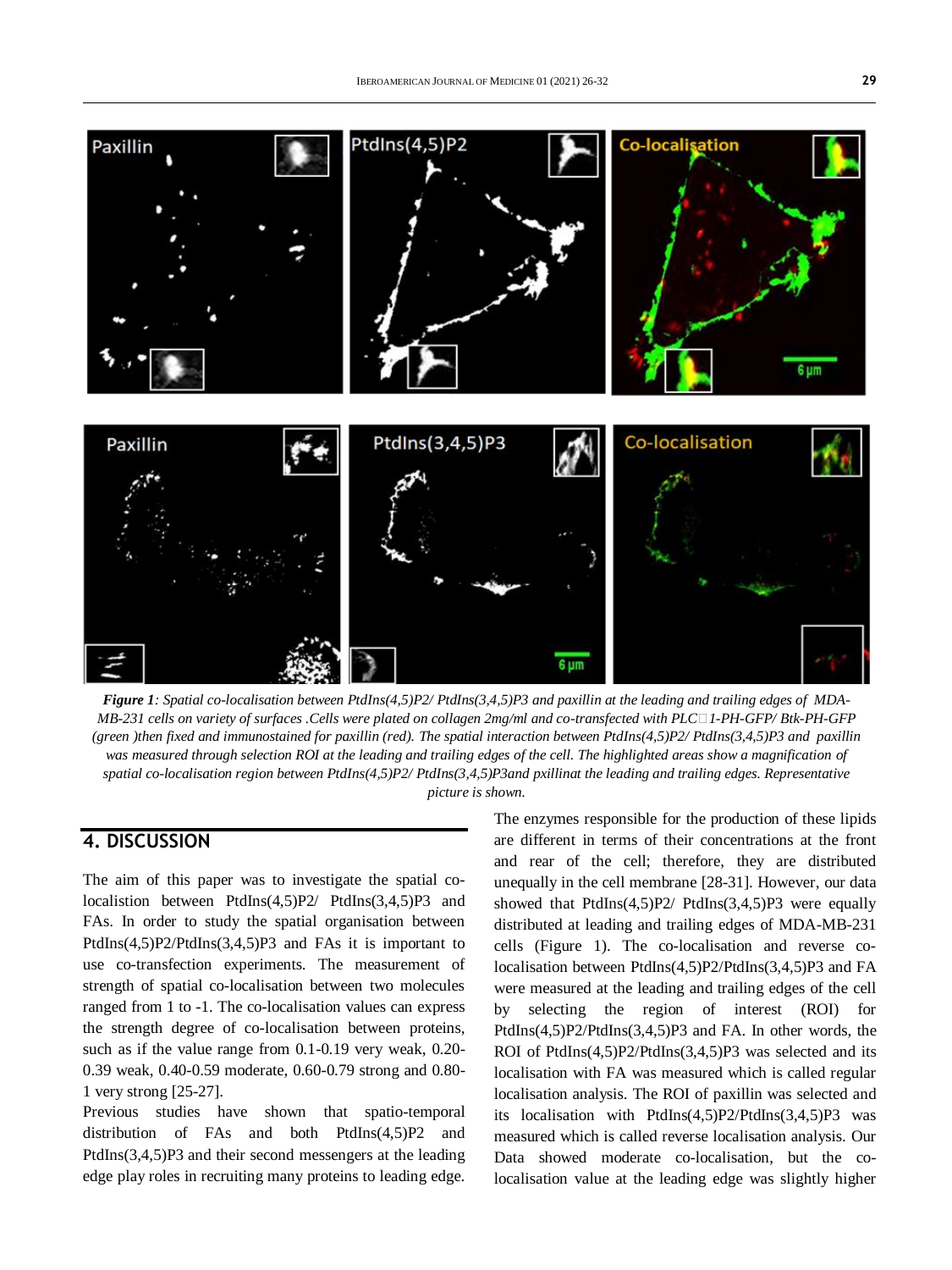

*Figure 1: Spatial co-localisation between PtdIns(4,5)P2/ PtdIns(3,4,5)P3 and paxillin at the leading and trailing edges of MDA-MB-231 cells on variety of surfaces .Cells were plated on collagen 2mg/ml and co-transfected with PLC□1-PH-GFP/ Btk-PH-GFP (green )then fixed and immunostained for paxillin (red). The spatial interaction between PtdIns(4,5)P2/ PtdIns(3,4,5)P3 and paxillin*  was measured through selection ROI at the leading and trailing edges of the cell. The highlighted areas show a magnification of *spatial co-localisation region between PtdIns(4,5)P2/ PtdIns(3,4,5)P3and pxillinat the leading and trailing edges. Representative picture is shown.*

## **4. DISCUSSION**

The aim of this paper was to investigate the spatial colocalistion between PtdIns(4,5)P2/ PtdIns(3,4,5)P3 and FAs. In order to study the spatial organisation between PtdIns(4,5)P2/PtdIns(3,4,5)P3 and FAs it is important to use co-transfection experiments. The measurement of strength of spatial co-localisation between two molecules ranged from 1 to -1. The co-localisation values can express the strength degree of co-localisation between proteins, such as if the value range from 0.1-0.19 very weak, 0.20- 0.39 weak, 0.40-0.59 moderate, 0.60-0.79 strong and 0.80- 1 very strong [25-27].

Previous studies have shown that spatio-temporal distribution of FAs and both PtdIns(4,5)P2 and PtdIns(3,4,5)P3 and their second messengers at the leading edge play roles in recruiting many proteins to leading edge.

The enzymes responsible for the production of these lipids are different in terms of their concentrations at the front and rear of the cell; therefore, they are distributed unequally in the cell membrane [28-31]. However, our data showed that PtdIns(4,5)P2/ PtdIns(3,4,5)P3 were equally distributed at leading and trailing edges of MDA-MB-231 cells (Figure 1). The co-localisation and reverse colocalisation between PtdIns(4,5)P2/PtdIns(3,4,5)P3 and FA were measured at the leading and trailing edges of the cell by selecting the region of interest (ROI) for PtdIns(4,5)P2/PtdIns(3,4,5)P3 and FA. In other words, the ROI of PtdIns(4,5)P2/PtdIns(3,4,5)P3 was selected and its localisation with FA was measured which is called regular localisation analysis. The ROI of paxillin was selected and its localisation with PtdIns(4,5)P2/PtdIns(3,4,5)P3 was measured which is called reverse localisation analysis. Our Data showed moderate co-localisation, but the colocalisation value at the leading edge was slightly higher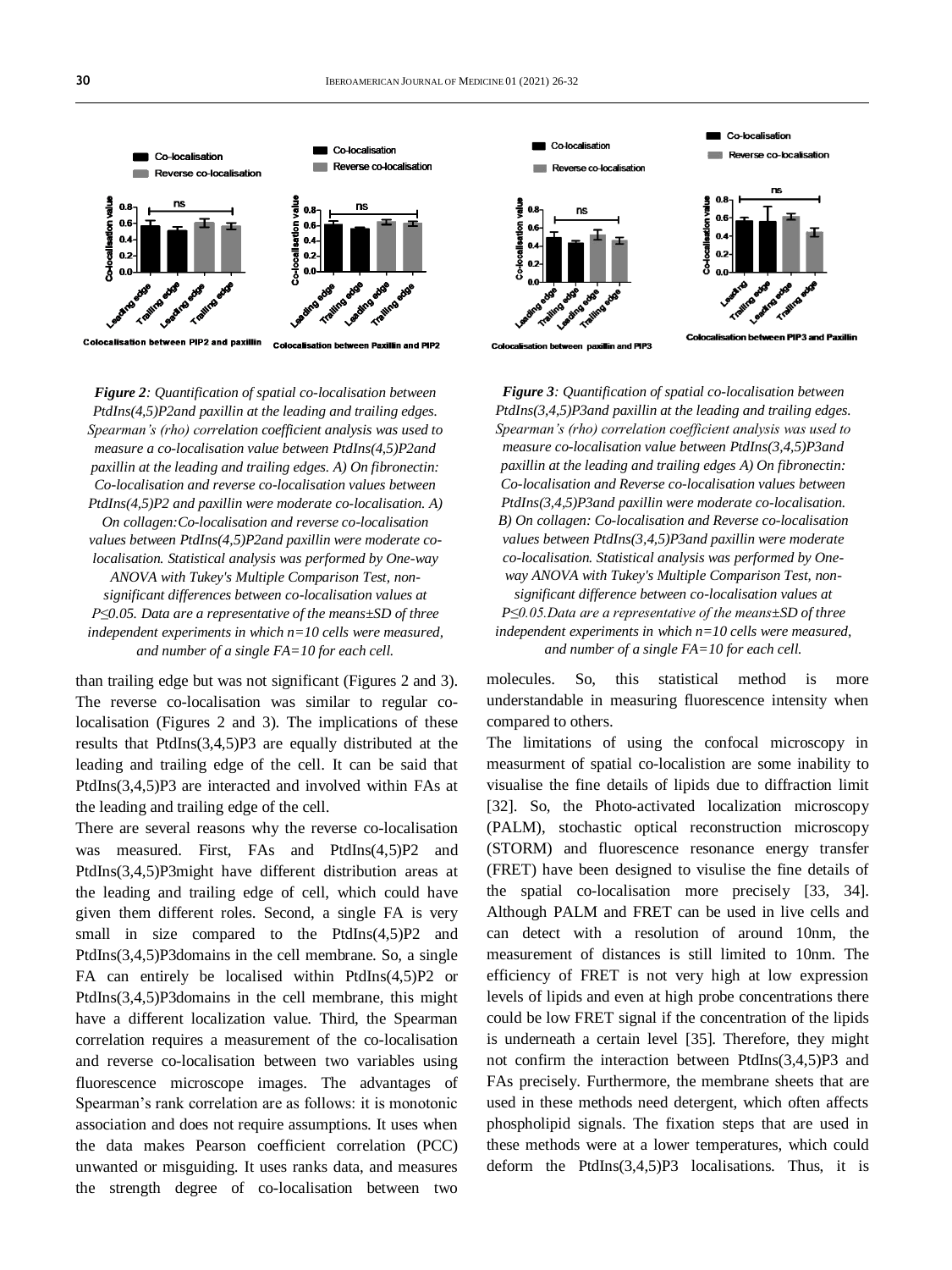

*Figure 2: Quantification of spatial co-localisation between PtdIns(4,5)P2and paxillin at the leading and trailing edges. Spearman's (rho) correlation coefficient analysis was used to measure a co-localisation value between PtdIns(4,5)P2and paxillin at the leading and trailing edges. A) On fibronectin: Co-localisation and reverse co-localisation values between PtdIns(4,5)P2 and paxillin were moderate co-localisation. A) On collagen:Co-localisation and reverse co-localisation values between PtdIns(4,5)P2and paxillin were moderate colocalisation. Statistical analysis was performed by One-way ANOVA with Tukey's Multiple Comparison Test, nonsignificant differences between co-localisation values at P≤0.05. Data are a representative of the means±SD of three independent experiments in which n=10 cells were measured, and number of a single FA=10 for each cell.* 

than trailing edge but was not significant (Figures 2 and 3). The reverse co-localisation was similar to regular colocalisation (Figures 2 and 3). The implications of these results that PtdIns(3,4,5)P3 are equally distributed at the leading and trailing edge of the cell. It can be said that PtdIns(3,4,5)P3 are interacted and involved within FAs at the leading and trailing edge of the cell.

There are several reasons why the reverse co-localisation was measured. First, FAs and PtdIns(4,5)P2 and PtdIns(3,4,5)P3might have different distribution areas at the leading and trailing edge of cell, which could have given them different roles. Second, a single FA is very small in size compared to the PtdIns(4,5)P2 and PtdIns(3,4,5)P3domains in the cell membrane. So, a single FA can entirely be localised within PtdIns(4,5)P2 or PtdIns(3,4,5)P3domains in the cell membrane, this might have a different localization value. Third, the Spearman correlation requires a measurement of the co-localisation and reverse co-localisation between two variables using fluorescence microscope images. The advantages of Spearman's rank correlation are as follows: it is monotonic association and does not require assumptions. It uses when the data makes Pearson coefficient correlation (PCC) unwanted or misguiding. It uses ranks data, and measures the strength degree of co-localisation between two



*Figure 3: Quantification of spatial co-localisation between PtdIns(3,4,5)P3and paxillin at the leading and trailing edges. Spearman's (rho) correlation coefficient analysis was used to measure co-localisation value between PtdIns(3,4,5)P3and paxillin at the leading and trailing edges A) On fibronectin: Co-localisation and Reverse co-localisation values between PtdIns(3,4,5)P3and paxillin were moderate co-localisation. B) On collagen: Co-localisation and Reverse co-localisation values between PtdIns(3,4,5)P3and paxillin were moderate co-localisation. Statistical analysis was performed by Oneway ANOVA with Tukey's Multiple Comparison Test, nonsignificant difference between co-localisation values at P≤0.05.Data are a representative of the means±SD of three independent experiments in which n=10 cells were measured, and number of a single FA=10 for each cell.*

molecules. So, this statistical method is more understandable in measuring fluorescence intensity when compared to others.

The limitations of using the confocal microscopy in measurment of spatial co-localistion are some inability to visualise the fine details of lipids due to diffraction limit [32]. So, the Photo-activated localization microscopy (PALM), stochastic optical reconstruction microscopy (STORM) and fluorescence resonance energy transfer (FRET) have been designed to visulise the fine details of the spatial co-localisation more precisely [33, 34]. Although PALM and FRET can be used in live cells and can detect with a resolution of around 10nm, the measurement of distances is still limited to 10nm. The efficiency of FRET is not very high at low expression levels of lipids and even at high probe concentrations there could be low FRET signal if the concentration of the lipids is underneath a certain level [35]. Therefore, they might not confirm the interaction between PtdIns(3,4,5)P3 and FAs precisely. Furthermore, the membrane sheets that are used in these methods need detergent, which often affects phospholipid signals. The fixation steps that are used in these methods were at a lower temperatures, which could deform the PtdIns(3,4,5)P3 localisations. Thus, it is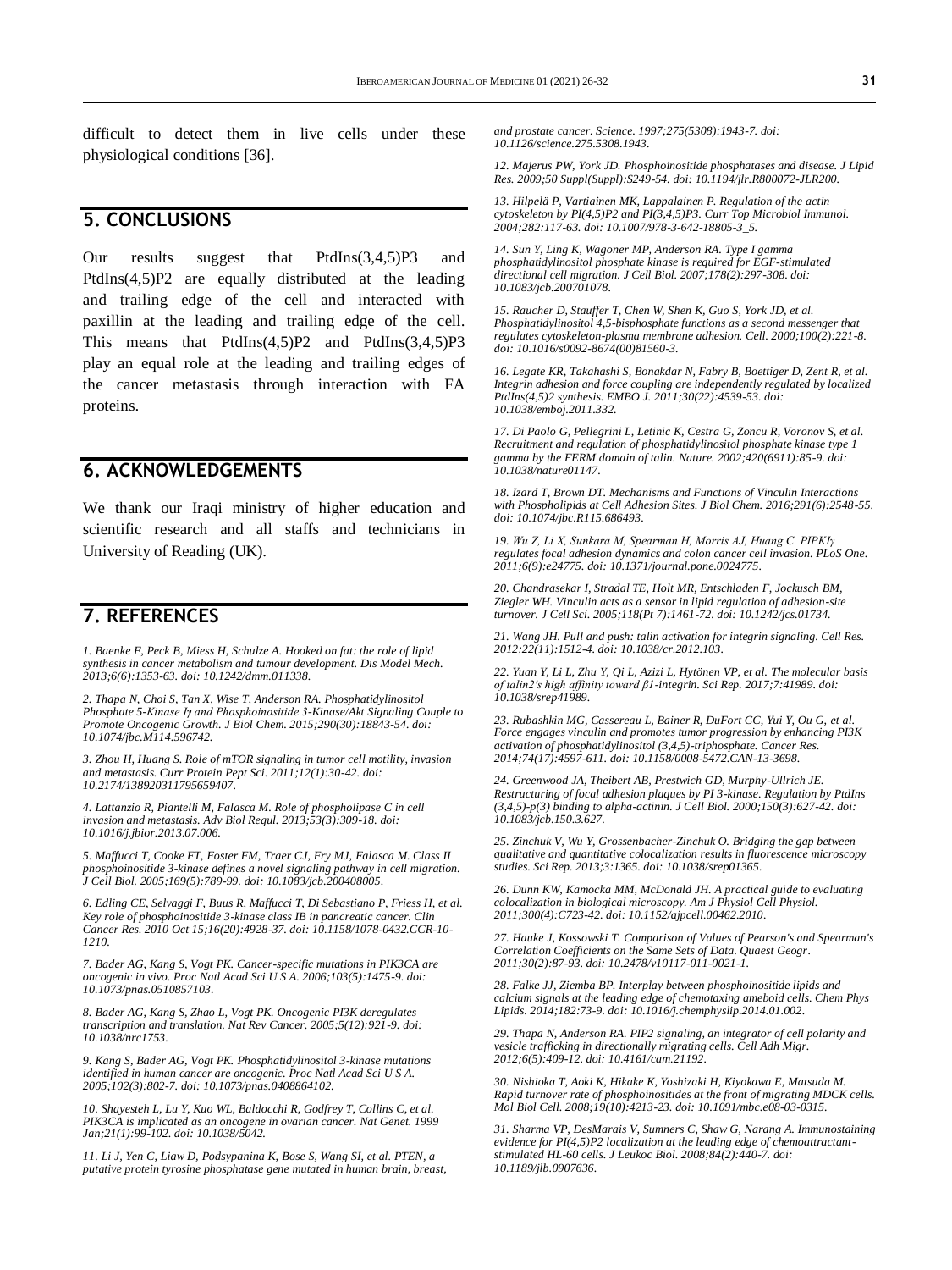difficult to detect them in live cells under these physiological conditions [36].

### **5. CONCLUSIONS**

Our results suggest that PtdIns(3,4,5)P3 and PtdIns(4,5)P2 are equally distributed at the leading and trailing edge of the cell and interacted with paxillin at the leading and trailing edge of the cell. This means that  $PtdIns(4,5)P2$  and  $PtdIns(3,4,5)P3$ play an equal role at the leading and trailing edges of the cancer metastasis through interaction with FA proteins.

### **6. ACKNOWLEDGEMENTS**

We thank our Iraqi ministry of higher education and scientific research and all staffs and technicians in University of Reading (UK).

# **7. REFERENCES**

*1. Baenke F, Peck B, Miess H, Schulze A. Hooked on fat: the role of lipid synthesis in cancer metabolism and tumour development. Dis Model Mech. 2013;6(6):1353-63. doi[: 10.1242/dmm.011338.](https://doi.org/10.1242/dmm.011338)*

*2. Thapa N, Choi S, Tan X, Wise T, Anderson RA. Phosphatidylinositol Phosphate 5-Kinase Iγ and Phosphoinositide 3-Kinase/Akt Signaling Couple to Promote Oncogenic Growth. J Biol Chem. 2015;290(30):18843-54. doi: [10.1074/jbc.M114.596742.](https://doi.org/10.1074/jbc.m114.596742)*

*3. Zhou H, Huang S. Role of mTOR signaling in tumor cell motility, invasion and metastasis. Curr Protein Pept Sci. 2011;12(1):30-42. doi: [10.2174/138920311795659407.](https://doi.org/10.2174/138920311795659407)*

*4. Lattanzio R, Piantelli M, Falasca M. Role of phospholipase C in cell invasion and metastasis. Adv Biol Regul. 2013;53(3):309-18. doi: [10.1016/j.jbior.2013.07.006.](https://doi.org/10.1016/j.jbior.2013.07.006)*

*5. Maffucci T, Cooke FT, Foster FM, Traer CJ, Fry MJ, Falasca M. Class II phosphoinositide 3-kinase defines a novel signaling pathway in cell migration. J Cell Biol. 2005;169(5):789-99. doi[: 10.1083/jcb.200408005.](https://doi.org/10.1083/jcb.200408005)*

*6. Edling CE, Selvaggi F, Buus R, Maffucci T, Di Sebastiano P, Friess H, et al. Key role of phosphoinositide 3-kinase class IB in pancreatic cancer. Clin Cancer Res. 2010 Oct 15;16(20):4928-37. doi[: 10.1158/1078-0432.CCR-10-](https://doi.org/10.1158/1078-0432.ccr-10-1210) [1210.](https://doi.org/10.1158/1078-0432.ccr-10-1210)*

*7. Bader AG, Kang S, Vogt PK. Cancer-specific mutations in PIK3CA are oncogenic in vivo. Proc Natl Acad Sci U S A. 2006;103(5):1475-9. doi: [10.1073/pnas.0510857103.](https://doi.org/10.1073/pnas.0510857103)*

*8. Bader AG, Kang S, Zhao L, Vogt PK. Oncogenic PI3K deregulates transcription and translation. Nat Rev Cancer. 2005;5(12):921-9. doi: [10.1038/nrc1753.](https://doi.org/10.1038/nrc1753)*

*9. Kang S, Bader AG, Vogt PK. Phosphatidylinositol 3-kinase mutations identified in human cancer are oncogenic. Proc Natl Acad Sci U S A. 2005;102(3):802-7. doi[: 10.1073/pnas.0408864102.](https://doi.org/10.1073/pnas.0408864102)*

*10. Shayesteh L, Lu Y, Kuo WL, Baldocchi R, Godfrey T, Collins C, et al. PIK3CA is implicated as an oncogene in ovarian cancer. Nat Genet. 1999 Jan;21(1):99-102. doi[: 10.1038/5042.](https://doi.org/10.1038/5042)*

*11. Li J, Yen C, Liaw D, Podsypanina K, Bose S, Wang SI, et al. PTEN, a putative protein tyrosine phosphatase gene mutated in human brain, breast,*  *and prostate cancer. Science. 1997;275(5308):1943-7. doi: [10.1126/science.275.5308.1943.](https://doi.org/10.1126/science.275.5308.1943)*

*12. Majerus PW, York JD. Phosphoinositide phosphatases and disease. J Lipid Res. 2009;50 Suppl(Suppl):S249-54. doi[: 10.1194/jlr.R800072-JLR200.](https://doi.org/10.1194/jlr.r800072-jlr200)*

*13. Hilpelä P, Vartiainen MK, Lappalainen P. Regulation of the actin cytoskeleton by PI(4,5)P2 and PI(3,4,5)P3. Curr Top Microbiol Immunol. 2004;282:117-63. doi[: 10.1007/978-3-642-18805-3\\_5.](https://doi.org/10.1007/978-3-642-18805-3_5)*

*14. Sun Y, Ling K, Wagoner MP, Anderson RA. Type I gamma phosphatidylinositol phosphate kinase is required for EGF-stimulated directional cell migration. J Cell Biol. 2007;178(2):297-308. doi: [10.1083/jcb.200701078.](https://doi.org/10.1083/jcb.200701078)*

*15. Raucher D, Stauffer T, Chen W, Shen K, Guo S, York JD, et al. Phosphatidylinositol 4,5-bisphosphate functions as a second messenger that regulates cytoskeleton-plasma membrane adhesion. Cell. 2000;100(2):221-8. doi[: 10.1016/s0092-8674\(00\)81560-3.](https://doi.org/10.1016/s0092-8674(00)81560-3)*

*16. Legate KR, Takahashi S, Bonakdar N, Fabry B, Boettiger D, Zent R, et al. Integrin adhesion and force coupling are independently regulated by localized PtdIns(4,5)2 synthesis. EMBO J. 2011;30(22):4539-53. doi: [10.1038/emboj.2011.332.](https://doi.org/10.1038/emboj.2011.332)*

*17. Di Paolo G, Pellegrini L, Letinic K, Cestra G, Zoncu R, Voronov S, et al. Recruitment and regulation of phosphatidylinositol phosphate kinase type 1 gamma by the FERM domain of talin. Nature. 2002;420(6911):85-9. doi: [10.1038/nature01147.](https://doi.org/10.1038/nature01147)*

*18. Izard T, Brown DT. Mechanisms and Functions of Vinculin Interactions with Phospholipids at Cell Adhesion Sites. J Biol Chem. 2016;291(6):2548-55. doi[: 10.1074/jbc.R115.686493.](https://doi.org/10.1074/jbc.r115.686493)*

*19. Wu Z, Li X, Sunkara M, Spearman H, Morris AJ, Huang C. PIPKIγ regulates focal adhesion dynamics and colon cancer cell invasion. PLoS One. 2011;6(9):e24775. doi[: 10.1371/journal.pone.0024775.](https://doi.org/10.1371/journal.pone.0024775)*

*20. Chandrasekar I, Stradal TE, Holt MR, Entschladen F, Jockusch BM, Ziegler WH. Vinculin acts as a sensor in lipid regulation of adhesion-site turnover. J Cell Sci. 2005;118(Pt 7):1461-72. doi[: 10.1242/jcs.01734.](https://doi.org/10.1242/jcs.01734)*

*21. Wang JH. Pull and push: talin activation for integrin signaling. Cell Res. 2012;22(11):1512-4. doi[: 10.1038/cr.2012.103.](https://doi.org/10.1038/cr.2012.103)*

*22. Yuan Y, Li L, Zhu Y, Qi L, Azizi L, Hytönen VP, et al. The molecular basis of talin2's high affinity toward β1-integrin. Sci Rep. 2017;7:41989. doi: [10.1038/srep41989.](https://doi.org/10.1038/srep41989)*

*23. Rubashkin MG, Cassereau L, Bainer R, DuFort CC, Yui Y, Ou G, et al. Force engages vinculin and promotes tumor progression by enhancing PI3K activation of phosphatidylinositol (3,4,5)-triphosphate. Cancer Res. 2014;74(17):4597-611. doi[: 10.1158/0008-5472.CAN-13-3698.](https://doi.org/10.1158/0008-5472.can-13-3698)*

*24. Greenwood JA, Theibert AB, Prestwich GD, Murphy-Ullrich JE. Restructuring of focal adhesion plaques by PI 3-kinase. Regulation by PtdIns (3,4,5)-p(3) binding to alpha-actinin. J Cell Biol. 2000;150(3):627-42. doi: [10.1083/jcb.150.3.627.](https://doi.org/10.1083/jcb.150.3.627)*

*25. Zinchuk V, Wu Y, Grossenbacher-Zinchuk O. Bridging the gap between qualitative and quantitative colocalization results in fluorescence microscopy studies. Sci Rep. 2013;3:1365. doi[: 10.1038/srep01365.](https://doi.org/10.1038/srep01365)*

*26. Dunn KW, Kamocka MM, McDonald JH. A practical guide to evaluating colocalization in biological microscopy. Am J Physiol Cell Physiol. 2011;300(4):C723-42. doi[: 10.1152/ajpcell.00462.2010.](https://doi.org/10.1152/ajpcell.00462.2010)*

*27. Hauke J, Kossowski T. Comparison of Values of Pearson's and Spearman's Correlation Coefficients on the Same Sets of Data. Quaest Geogr. 2011;30(2):87-93. doi[: 10.2478/v10117-011-0021-1.](https://doi.org/10.2478/v10117-011-0021-1)*

*28. Falke JJ, Ziemba BP. Interplay between phosphoinositide lipids and calcium signals at the leading edge of chemotaxing ameboid cells. Chem Phys Lipids. 2014;182:73-9. doi[: 10.1016/j.chemphyslip.2014.01.002.](https://doi.org/10.1016/j.chemphyslip.2014.01.002)*

*29. Thapa N, Anderson RA. PIP2 signaling, an integrator of cell polarity and vesicle trafficking in directionally migrating cells. Cell Adh Migr. 2012;6(5):409-12. doi[: 10.4161/cam.21192.](https://doi.org/10.4161/cam.21192)*

*30. Nishioka T, Aoki K, Hikake K, Yoshizaki H, Kiyokawa E, Matsuda M. Rapid turnover rate of phosphoinositides at the front of migrating MDCK cells. Mol Biol Cell. 2008;19(10):4213-23. doi[: 10.1091/mbc.e08-03-0315.](https://doi.org/10.1091/mbc.e08-03-0315)*

*31. Sharma VP, DesMarais V, Sumners C, Shaw G, Narang A. Immunostaining evidence for PI(4,5)P2 localization at the leading edge of chemoattractantstimulated HL-60 cells. J Leukoc Biol. 2008;84(2):440-7. doi: [10.1189/jlb.0907636.](https://doi.org/10.1189/jlb.0907636)*